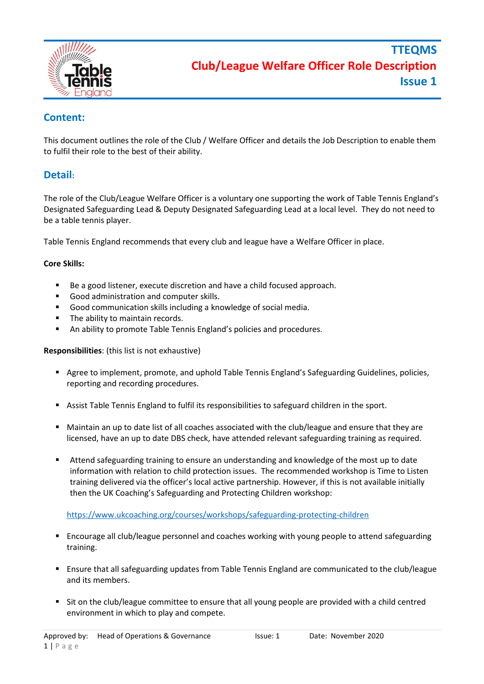

# **Content:**

This document outlines the role of the Club / Welfare Officer and details the Job Description to enable them to fulfil their role to the best of their ability.

## **Detail:**

The role of the Club/League Welfare Officer is a voluntary one supporting the work of Table Tennis England's Designated Safeguarding Lead & Deputy Designated Safeguarding Lead at a local level. They do not need to be a table tennis player.

Table Tennis England recommends that every club and league have a Welfare Officer in place.

### **Core Skills:**

- Be a good listener, execute discretion and have a child focused approach.
- Good administration and computer skills.
- Good communication skills including a knowledge of social media.
- The ability to maintain records.
- An ability to promote Table Tennis England's policies and procedures.

### **Responsibilities**: (this list is not exhaustive)

- Agree to implement, promote, and uphold Table Tennis England's Safeguarding Guidelines, policies, reporting and recording procedures.
- Assist Table Tennis England to fulfil its responsibilities to safeguard children in the sport.
- Maintain an up to date list of all coaches associated with the club/league and ensure that they are licensed, have an up to date DBS check, have attended relevant safeguarding training as required.
- **EXECT** Attend safeguarding training to ensure an understanding and knowledge of the most up to date information with relation to child protection issues. The recommended workshop is Time to Listen training delivered via the officer's local active partnership. However, if this is not available initially then the UK Coaching's Safeguarding and Protecting Children workshop:

<https://www.ukcoaching.org/courses/workshops/safeguarding-protecting-children>

- Encourage all club/league personnel and coaches working with young people to attend safeguarding training.
- Ensure that all safeguarding updates from Table Tennis England are communicated to the club/league and its members.
- Sit on the club/league committee to ensure that all young people are provided with a child centred environment in which to play and compete.